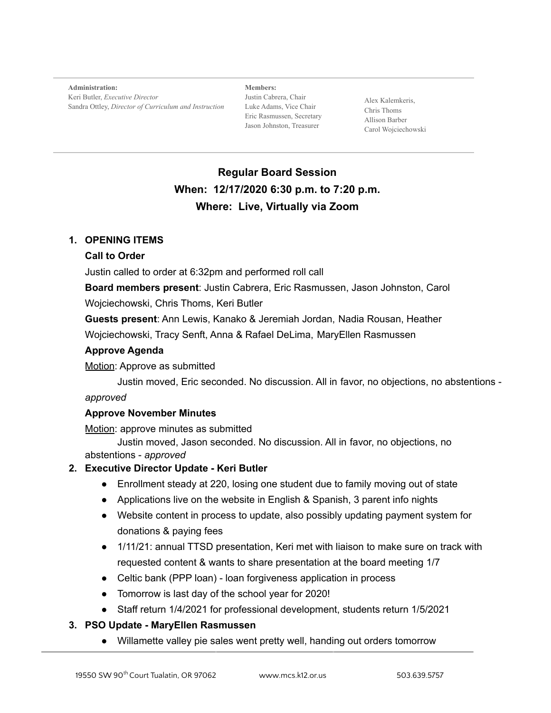**Administration:** Keri Butler, *Executive Director* Sandra Ottley, *Director of Curriculum and Instruction*

**Members:** Justin Cabrera, Chair Luke Adams, Vice Chair Eric Rasmussen, Secretary Jason Johnston, Treasurer

Alex Kalemkeris, Chris Thoms Allison Barber Carol Wojciechowski

# **Regular Board Session When: 12/17/2020 6:30 p.m. to 7:20 p.m. Where: Live, Virtually via Zoom**

## **1. OPENING ITEMS**

#### **Call to Order**

Justin called to order at 6:32pm and performed roll call

**Board members present**: Justin Cabrera, Eric Rasmussen, Jason Johnston, Carol

Wojciechowski, Chris Thoms, Keri Butler

**Guests present**: Ann Lewis, Kanako & Jeremiah Jordan, Nadia Rousan, Heather

Wojciechowski, Tracy Senft, Anna & Rafael DeLima, MaryEllen Rasmussen

#### **Approve Agenda**

Motion: Approve as submitted

Justin moved, Eric seconded. No discussion. All in favor, no objections, no abstentions -

## *approved*

## **Approve November Minutes**

Motion: approve minutes as submitted

Justin moved, Jason seconded. No discussion. All in favor, no objections, no abstentions - *approved*

## **2. Executive Director Update - Keri Butler**

- Enrollment steady at 220, losing one student due to family moving out of state
- Applications live on the website in English & Spanish, 3 parent info nights
- Website content in process to update, also possibly updating payment system for donations & paying fees
- 1/11/21: annual TTSD presentation, Keri met with liaison to make sure on track with requested content & wants to share presentation at the board meeting 1/7
- Celtic bank (PPP loan) loan forgiveness application in process
- Tomorrow is last day of the school year for 2020!
- Staff return 1/4/2021 for professional development, students return 1/5/2021

## **3. PSO Update - MaryEllen Rasmussen**

● Willamette valley pie sales went pretty well, handing out orders tomorrow